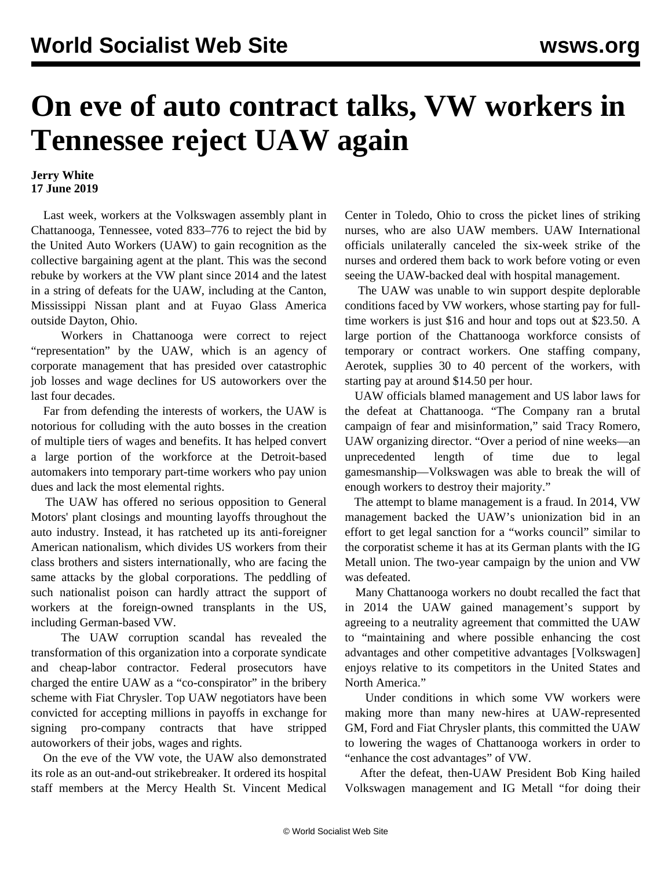## **On eve of auto contract talks, VW workers in Tennessee reject UAW again**

## **Jerry White 17 June 2019**

 Last week, workers at the Volkswagen assembly plant in Chattanooga, Tennessee, voted 833–776 to reject the bid by the United Auto Workers (UAW) to gain recognition as the collective bargaining agent at the plant. This was the second rebuke by workers at the VW plant since 2014 and the latest in a string of defeats for the UAW, including at the Canton, Mississippi Nissan plant and at Fuyao Glass America outside Dayton, Ohio.

 Workers in Chattanooga were correct to reject "representation" by the UAW, which is an agency of corporate management that has presided over catastrophic job losses and wage declines for US autoworkers over the last four decades.

 Far from defending the interests of workers, the UAW is notorious for colluding with the auto bosses in the creation of multiple tiers of wages and benefits. It has helped convert a large portion of the workforce at the Detroit-based automakers into temporary part-time workers who pay union dues and lack the most elemental rights.

 The UAW has offered no serious opposition to General Motors' plant closings and mounting layoffs throughout the auto industry. Instead, it has ratcheted up its anti-foreigner American nationalism, which divides US workers from their class brothers and sisters internationally, who are facing the same attacks by the global corporations. The peddling of such nationalist poison can hardly attract the support of workers at the foreign-owned transplants in the US, including German-based VW.

 The UAW corruption scandal has revealed the transformation of this organization into a corporate syndicate and cheap-labor contractor. Federal prosecutors have charged the entire UAW as a "co-conspirator" in the bribery scheme with Fiat Chrysler. Top UAW negotiators have been convicted for accepting millions in payoffs in exchange for signing pro-company contracts that have stripped autoworkers of their jobs, wages and rights.

 On the eve of the VW vote, the UAW also demonstrated its role as an out-and-out strikebreaker. It ordered its hospital staff members at the Mercy Health St. Vincent Medical Center in Toledo, Ohio to cross the picket lines of striking nurses, who are also UAW members. UAW International officials unilaterally canceled the six-week strike of the nurses and ordered them back to work before voting or even seeing the UAW-backed deal with hospital management.

 The UAW was unable to win support despite deplorable conditions faced by VW workers, whose starting pay for fulltime workers is just \$16 and hour and tops out at \$23.50. A large portion of the Chattanooga workforce consists of temporary or contract workers. One staffing company, Aerotek, supplies 30 to 40 percent of the workers, with starting pay at around \$14.50 per hour.

 UAW officials blamed management and US labor laws for the defeat at Chattanooga. "The Company ran a brutal campaign of fear and misinformation," said Tracy Romero, UAW organizing director. "Over a period of nine weeks—an unprecedented length of time due to legal gamesmanship—Volkswagen was able to break the will of enough workers to destroy their majority."

 The attempt to blame management is a fraud. In 2014, VW management backed the UAW's unionization bid in an effort to get legal sanction for a "works council" similar to the corporatist scheme it has at its German plants with the IG Metall union. The two-year campaign by the union and VW was defeated.

 Many Chattanooga workers no doubt recalled the fact that in 2014 the UAW gained management's support by agreeing to a neutrality agreement that committed the UAW to "maintaining and where possible enhancing the cost advantages and other competitive advantages [Volkswagen] enjoys relative to its competitors in the United States and North America."

 Under conditions in which some VW workers were making more than many new-hires at UAW-represented GM, Ford and Fiat Chrysler plants, this committed the UAW to lowering the wages of Chattanooga workers in order to "enhance the cost advantages" of VW.

 After the defeat, then-UAW President Bob King hailed Volkswagen management and IG Metall "for doing their